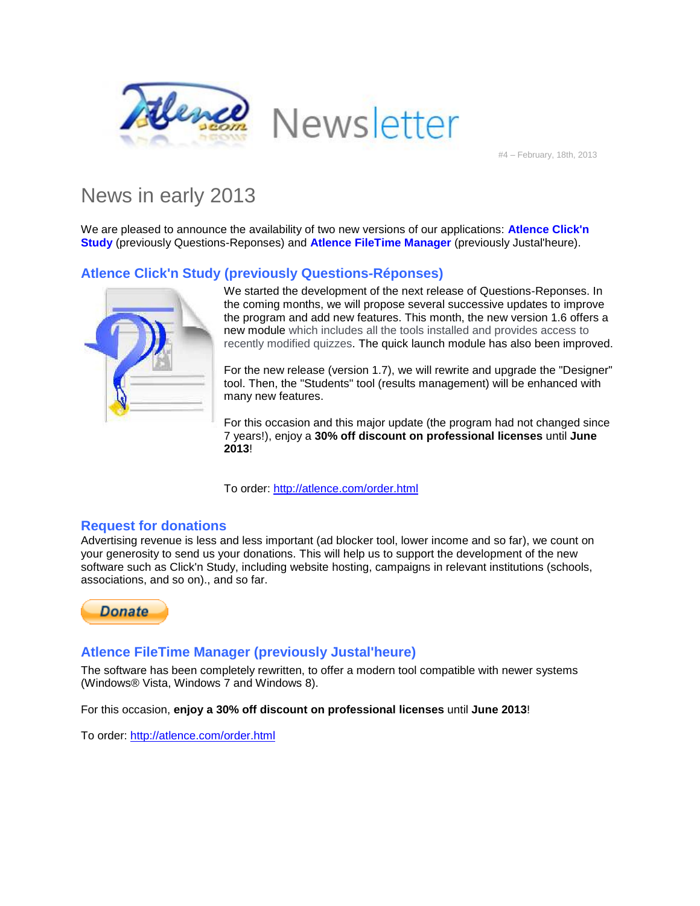



#4 – February, 18th, 2013

# News in early 2013

We are pleased to announce the availability of two new versions of our applications: **Atlence Click'n Study** (previously Questions-Reponses) and **Atlence FileTime Manager** (previously Justal'heure).

### **Atlence Click'n Study (previously Questions-Réponses)**



We started the development of the next release of Questions-Reponses. In the coming months, we will propose several successive updates to improve the program and add new features. This month, the new version 1.6 offers a new module which includes all the tools installed and provides access to recently modified quizzes. The quick launch module has also been improved.

For the new release (version 1.7), we will rewrite and upgrade the "Designer" tool. Then, the "Students" tool (results management) will be enhanced with many new features.

For this occasion and this major update (the program had not changed since 7 years!), enjoy a **30% off discount on professional licenses** until **June 2013**!

To order:<http://atlence.com/order.html>

#### **Request for donations**

Advertising revenue is less and less important (ad blocker tool, lower income and so far), we count on your generosity to send us your donations. This will help us to support the development of the new software such as Click'n Study, including website hosting, campaigns in relevant institutions (schools, associations, and so on)., and so far.



#### **Atlence FileTime Manager (previously Justal'heure)**

The software has been completely rewritten, to offer a modern tool compatible with newer systems (Windows® Vista, Windows 7 and Windows 8).

For this occasion, **enjoy a 30% off discount on professional licenses** until **June 2013**!

To order:<http://atlence.com/order.html>